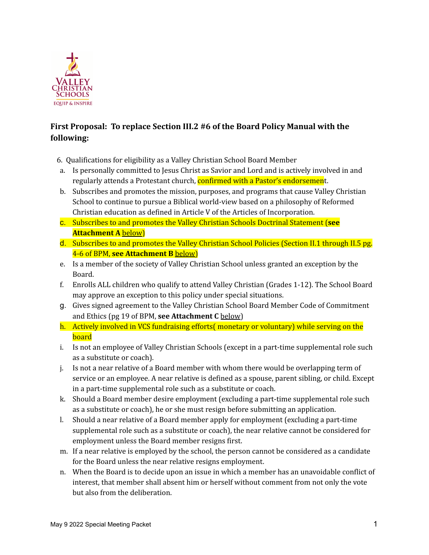

# **First Proposal: To replace Section III.2 #6 of the Board Policy Manual with the following:**

- 6. Qualifications for eligibility as a Valley Christian School Board Member
- a. Is personally committed to Jesus Christ as Savior and Lord and is actively involved in and regularly attends a Protestant church, confirmed with a Pastor's endorsement.
- b. Subscribes and promotes the mission, purposes, and programs that cause Valley Christian School to continue to pursue a Biblical world-view based on a philosophy of Reformed Christian education as defined in Article V of the Articles of Incorporation.
- c. Subscribes to and promotes the Valley Christian Schools Doctrinal Statement (**see Attachment A** below)
- d. Subscribes to and promotes the Valley Christian School Policies (Section II.1 through II.5 pg. 4-6 of BPM, **see Attachment B** below)
- e. Is a member of the society of Valley Christian School unless granted an exception by the Board.
- f. Enrolls ALL children who qualify to attend Valley Christian (Grades 1-12). The School Board may approve an exception to this policy under special situations.
- g. Gives signed agreement to the Valley Christian School Board Member Code of Commitment and Ethics (pg 19 of BPM, **see Attachment C** below)
- h. Actively involved in VCS fundraising efforts( monetary or voluntary) while serving on the board
- i. Is not an employee of Valley Christian Schools (except in a part-time supplemental role such as a substitute or coach).
- j. Is not a near relative of a Board member with whom there would be overlapping term of service or an employee. A near relative is defined as a spouse, parent sibling, or child. Except in a part-time supplemental role such as a substitute or coach.
- k. Should a Board member desire employment (excluding a part-time supplemental role such as a substitute or coach), he or she must resign before submitting an application.
- l. Should a near relative of a Board member apply for employment (excluding a part-time supplemental role such as a substitute or coach), the near relative cannot be considered for employment unless the Board member resigns first.
- m. If a near relative is employed by the school, the person cannot be considered as a candidate for the Board unless the near relative resigns employment.
- n. When the Board is to decide upon an issue in which a member has an unavoidable conflict of interest, that member shall absent him or herself without comment from not only the vote but also from the deliberation.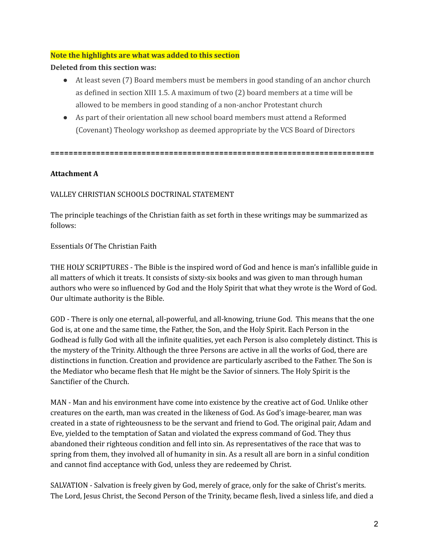#### **Note the highlights are what was added to this section**

#### **Deleted from this section was:**

- At least seven (7) Board members must be members in good standing of an anchor church as defined in section XIII 1.5. A maximum of two (2) board members at a time will be allowed to be members in good standing of a non-anchor Protestant church
- As part of their orientation all new school board members must attend a Reformed (Covenant) Theology workshop as deemed appropriate by the VCS Board of Directors

**=======================================================================**

## **Attachment A**

VALLEY CHRISTIAN SCHOOLS DOCTRINAL STATEMENT

The principle teachings of the Christian faith as set forth in these writings may be summarized as follows:

Essentials Of The Christian Faith

THE HOLY SCRIPTURES - The Bible is the inspired word of God and hence is man's infallible guide in all matters of which it treats. It consists of sixty-six books and was given to man through human authors who were so influenced by God and the Holy Spirit that what they wrote is the Word of God. Our ultimate authority is the Bible.

GOD - There is only one eternal, all-powerful, and all-knowing, triune God. This means that the one God is, at one and the same time, the Father, the Son, and the Holy Spirit. Each Person in the Godhead is fully God with all the infinite qualities, yet each Person is also completely distinct. This is the mystery of the Trinity. Although the three Persons are active in all the works of God, there are distinctions in function. Creation and providence are particularly ascribed to the Father. The Son is the Mediator who became flesh that He might be the Savior of sinners. The Holy Spirit is the Sanctifier of the Church.

MAN - Man and his environment have come into existence by the creative act of God. Unlike other creatures on the earth, man was created in the likeness of God. As God's image-bearer, man was created in a state of righteousness to be the servant and friend to God. The original pair, Adam and Eve, yielded to the temptation of Satan and violated the express command of God. They thus abandoned their righteous condition and fell into sin. As representatives of the race that was to spring from them, they involved all of humanity in sin. As a result all are born in a sinful condition and cannot find acceptance with God, unless they are redeemed by Christ.

SALVATION - Salvation is freely given by God, merely of grace, only for the sake of Christ's merits. The Lord, Jesus Christ, the Second Person of the Trinity, became flesh, lived a sinless life, and died a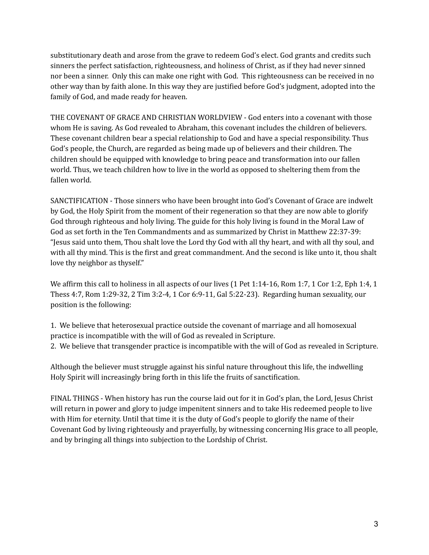substitutionary death and arose from the grave to redeem God's elect. God grants and credits such sinners the perfect satisfaction, righteousness, and holiness of Christ, as if they had never sinned nor been a sinner. Only this can make one right with God. This righteousness can be received in no other way than by faith alone. In this way they are justified before God's judgment, adopted into the family of God, and made ready for heaven.

THE COVENANT OF GRACE AND CHRISTIAN WORLDVIEW - God enters into a covenant with those whom He is saving. As God revealed to Abraham, this covenant includes the children of believers. These covenant children bear a special relationship to God and have a special responsibility. Thus God's people, the Church, are regarded as being made up of believers and their children. The children should be equipped with knowledge to bring peace and transformation into our fallen world. Thus, we teach children how to live in the world as opposed to sheltering them from the fallen world.

SANCTIFICATION - Those sinners who have been brought into God's Covenant of Grace are indwelt by God, the Holy Spirit from the moment of their regeneration so that they are now able to glorify God through righteous and holy living. The guide for this holy living is found in the Moral Law of God as set forth in the Ten Commandments and as summarized by Christ in Matthew 22:37-39: "Jesus said unto them, Thou shalt love the Lord thy God with all thy heart, and with all thy soul, and with all thy mind. This is the first and great commandment. And the second is like unto it, thou shalt love thy neighbor as thyself."

We affirm this call to holiness in all aspects of our lives (1 Pet 1:14-16, Rom 1:7, 1 Cor 1:2, Eph 1:4, 1 Thess 4:7, Rom 1:29-32, 2 Tim 3:2-4, 1 Cor 6:9-11, Gal 5:22-23). Regarding human sexuality, our position is the following:

1. We believe that heterosexual practice outside the covenant of marriage and all homosexual practice is incompatible with the will of God as revealed in Scripture. 2. We believe that transgender practice is incompatible with the will of God as revealed in Scripture.

Although the believer must struggle against his sinful nature throughout this life, the indwelling Holy Spirit will increasingly bring forth in this life the fruits of sanctification.

FINAL THINGS - When history has run the course laid out for it in God's plan, the Lord, Jesus Christ will return in power and glory to judge impenitent sinners and to take His redeemed people to live with Him for eternity. Until that time it is the duty of God's people to glorify the name of their Covenant God by living righteously and prayerfully, by witnessing concerning His grace to all people, and by bringing all things into subjection to the Lordship of Christ.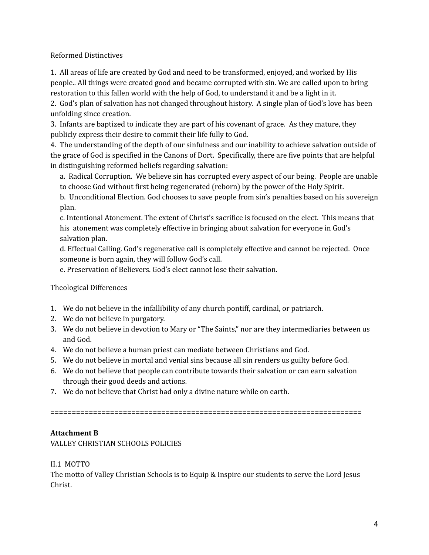Reformed Distinctives

1. All areas of life are created by God and need to be transformed, enjoyed, and worked by His people.. All things were created good and became corrupted with sin. We are called upon to bring restoration to this fallen world with the help of God, to understand it and be a light in it.

2. God's plan of salvation has not changed throughout history. A single plan of God's love has been unfolding since creation.

3. Infants are baptized to indicate they are part of his covenant of grace. As they mature, they publicly express their desire to commit their life fully to God.

4. The understanding of the depth of our sinfulness and our inability to achieve salvation outside of the grace of God is specified in the Canons of Dort. Specifically, there are five points that are helpful in distinguishing reformed beliefs regarding salvation:

a. Radical Corruption. We believe sin has corrupted every aspect of our being. People are unable to choose God without first being regenerated (reborn) by the power of the Holy Spirit.

b. Unconditional Election. God chooses to save people from sin's penalties based on his sovereign plan.

c. Intentional Atonement. The extent of Christ's sacrifice is focused on the elect. This means that his atonement was completely effective in bringing about salvation for everyone in God's salvation plan.

d. Effectual Calling. God's regenerative call is completely effective and cannot be rejected. Once someone is born again, they will follow God's call.

e. Preservation of Believers. God's elect cannot lose their salvation.

## Theological Differences

- 1. We do not believe in the infallibility of any church pontiff, cardinal, or patriarch.
- 2. We do not believe in purgatory.
- 3. We do not believe in devotion to Mary or "The Saints," nor are they intermediaries between us and God.
- 4. We do not believe a human priest can mediate between Christians and God.
- 5. We do not believe in mortal and venial sins because all sin renders us guilty before God.
- 6. We do not believe that people can contribute towards their salvation or can earn salvation through their good deeds and actions.
- 7. We do not believe that Christ had only a divine nature while on earth.

=========================================================================

## **Attachment B**

VALLEY CHRISTIAN SCHOOLS POLICIES

II.1 MOTTO

The motto of Valley Christian Schools is to Equip & Inspire our students to serve the Lord Jesus Christ.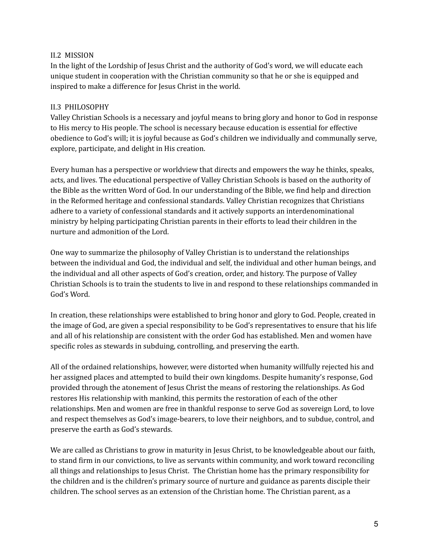#### II.2 MISSION

In the light of the Lordship of Jesus Christ and the authority of God's word, we will educate each unique student in cooperation with the Christian community so that he or she is equipped and inspired to make a difference for Jesus Christ in the world.

#### II.3 PHILOSOPHY

Valley Christian Schools is a necessary and joyful means to bring glory and honor to God in response to His mercy to His people. The school is necessary because education is essential for effective obedience to God's will; it is joyful because as God's children we individually and communally serve, explore, participate, and delight in His creation.

Every human has a perspective or worldview that directs and empowers the way he thinks, speaks, acts, and lives. The educational perspective of Valley Christian Schools is based on the authority of the Bible as the written Word of God. In our understanding of the Bible, we find help and direction in the Reformed heritage and confessional standards. Valley Christian recognizes that Christians adhere to a variety of confessional standards and it actively supports an interdenominational ministry by helping participating Christian parents in their efforts to lead their children in the nurture and admonition of the Lord.

One way to summarize the philosophy of Valley Christian is to understand the relationships between the individual and God, the individual and self, the individual and other human beings, and the individual and all other aspects of God's creation, order, and history. The purpose of Valley Christian Schools is to train the students to live in and respond to these relationships commanded in God's Word.

In creation, these relationships were established to bring honor and glory to God. People, created in the image of God, are given a special responsibility to be God's representatives to ensure that his life and all of his relationship are consistent with the order God has established. Men and women have specific roles as stewards in subduing, controlling, and preserving the earth.

All of the ordained relationships, however, were distorted when humanity willfully rejected his and her assigned places and attempted to build their own kingdoms. Despite humanity's response, God provided through the atonement of Jesus Christ the means of restoring the relationships. As God restores His relationship with mankind, this permits the restoration of each of the other relationships. Men and women are free in thankful response to serve God as sovereign Lord, to love and respect themselves as God's image-bearers, to love their neighbors, and to subdue, control, and preserve the earth as God's stewards.

We are called as Christians to grow in maturity in Jesus Christ, to be knowledgeable about our faith, to stand firm in our convictions, to live as servants within community, and work toward reconciling all things and relationships to Jesus Christ. The Christian home has the primary responsibility for the children and is the children's primary source of nurture and guidance as parents disciple their children. The school serves as an extension of the Christian home. The Christian parent, as a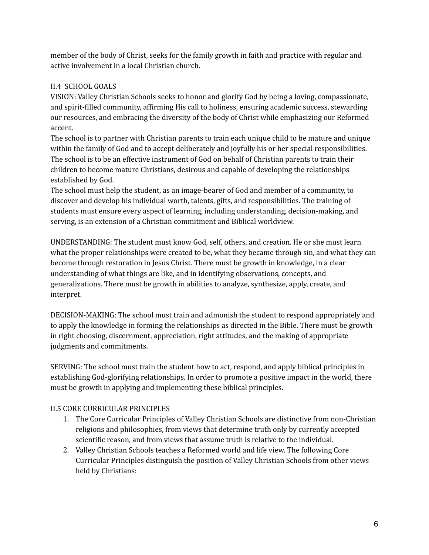member of the body of Christ, seeks for the family growth in faith and practice with regular and active involvement in a local Christian church.

## II.4 SCHOOL GOALS

VISION: Valley Christian Schools seeks to honor and glorify God by being a loving, compassionate, and spirit-filled community, affirming His call to holiness, ensuring academic success, stewarding our resources, and embracing the diversity of the body of Christ while emphasizing our Reformed accent.

The school is to partner with Christian parents to train each unique child to be mature and unique within the family of God and to accept deliberately and joyfully his or her special responsibilities. The school is to be an effective instrument of God on behalf of Christian parents to train their children to become mature Christians, desirous and capable of developing the relationships established by God.

The school must help the student, as an image-bearer of God and member of a community, to discover and develop his individual worth, talents, gifts, and responsibilities. The training of students must ensure every aspect of learning, including understanding, decision-making, and serving, is an extension of a Christian commitment and Biblical worldview.

UNDERSTANDING: The student must know God, self, others, and creation. He or she must learn what the proper relationships were created to be, what they became through sin, and what they can become through restoration in Jesus Christ. There must be growth in knowledge, in a clear understanding of what things are like, and in identifying observations, concepts, and generalizations. There must be growth in abilities to analyze, synthesize, apply, create, and interpret.

DECISION-MAKING: The school must train and admonish the student to respond appropriately and to apply the knowledge in forming the relationships as directed in the Bible. There must be growth in right choosing, discernment, appreciation, right attitudes, and the making of appropriate judgments and commitments.

SERVING: The school must train the student how to act, respond, and apply biblical principles in establishing God-glorifying relationships. In order to promote a positive impact in the world, there must be growth in applying and implementing these biblical principles.

# II.5 CORE CURRICULAR PRINCIPLES

- 1. The Core Curricular Principles of Valley Christian Schools are distinctive from non-Christian religions and philosophies, from views that determine truth only by currently accepted scientific reason, and from views that assume truth is relative to the individual.
- 2. Valley Christian Schools teaches a Reformed world and life view. The following Core Curricular Principles distinguish the position of Valley Christian Schools from other views held by Christians: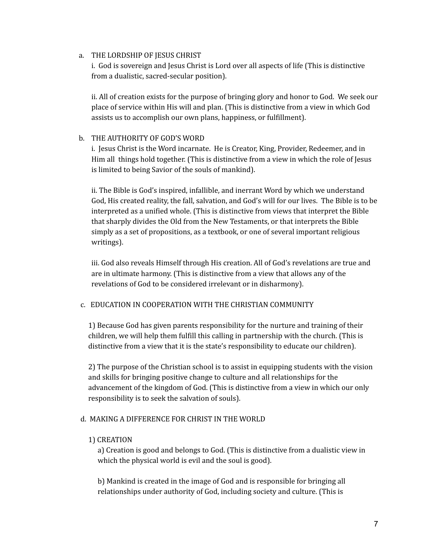#### a. THE LORDSHIP OF JESUS CHRIST

i. God is sovereign and Jesus Christ is Lord over all aspects of life (This is distinctive from a dualistic, sacred-secular position).

ii. All of creation exists for the purpose of bringing glory and honor to God. We seek our place of service within His will and plan. (This is distinctive from a view in which God assists us to accomplish our own plans, happiness, or fulfillment).

#### b. THE AUTHORITY OF GOD'S WORD

i. Jesus Christ is the Word incarnate. He is Creator, King, Provider, Redeemer, and in Him all things hold together. (This is distinctive from a view in which the role of Jesus is limited to being Savior of the souls of mankind).

ii. The Bible is God's inspired, infallible, and inerrant Word by which we understand God, His created reality, the fall, salvation, and God's will for our lives. The Bible is to be interpreted as a unified whole. (This is distinctive from views that interpret the Bible that sharply divides the Old from the New Testaments, or that interprets the Bible simply as a set of propositions, as a textbook, or one of several important religious writings).

iii. God also reveals Himself through His creation. All of God's revelations are true and are in ultimate harmony. (This is distinctive from a view that allows any of the revelations of God to be considered irrelevant or in disharmony).

## c. EDUCATION IN COOPERATION WITH THE CHRISTIAN COMMUNITY

1) Because God has given parents responsibility for the nurture and training of their children, we will help them fulfill this calling in partnership with the church. (This is distinctive from a view that it is the state's responsibility to educate our children).

2) The purpose of the Christian school is to assist in equipping students with the vision and skills for bringing positive change to culture and all relationships for the advancement of the kingdom of God. (This is distinctive from a view in which our only responsibility is to seek the salvation of souls).

## d. MAKING A DIFFERENCE FOR CHRIST IN THE WORLD

## 1) CREATION

a) Creation is good and belongs to God. (This is distinctive from a dualistic view in which the physical world is evil and the soul is good).

b) Mankind is created in the image of God and is responsible for bringing all relationships under authority of God, including society and culture. (This is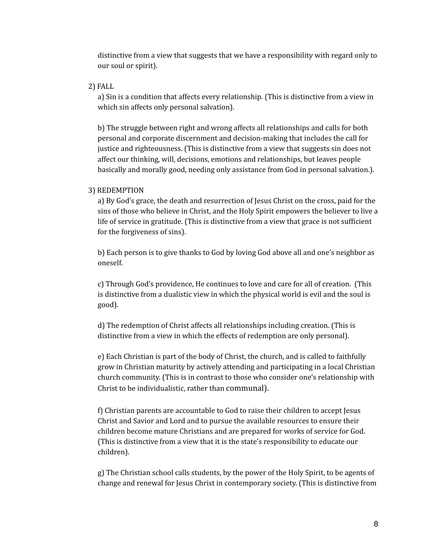distinctive from a view that suggests that we have a responsibility with regard only to our soul or spirit).

#### 2) FALL

a) Sin is a condition that affects every relationship. (This is distinctive from a view in which sin affects only personal salvation).

b) The struggle between right and wrong affects all relationships and calls for both personal and corporate discernment and decision-making that includes the call for justice and righteousness. (This is distinctive from a view that suggests sin does not affect our thinking, will, decisions, emotions and relationships, but leaves people basically and morally good, needing only assistance from God in personal salvation.).

#### 3) REDEMPTION

a) By God's grace, the death and resurrection of Jesus Christ on the cross, paid for the sins of those who believe in Christ, and the Holy Spirit empowers the believer to live a life of service in gratitude. (This is distinctive from a view that grace is not sufficient for the forgiveness of sins).

b) Each person is to give thanks to God by loving God above all and one's neighbor as oneself.

c) Through God's providence, He continues to love and care for all of creation. (This is distinctive from a dualistic view in which the physical world is evil and the soul is good).

d) The redemption of Christ affects all relationships including creation. (This is distinctive from a view in which the effects of redemption are only personal).

e) Each Christian is part of the body of Christ, the church, and is called to faithfully grow in Christian maturity by actively attending and participating in a local Christian church community. (This is in contrast to those who consider one's relationship with Christ to be individualistic, rather than communal).

f) Christian parents are accountable to God to raise their children to accept Jesus Christ and Savior and Lord and to pursue the available resources to ensure their children become mature Christians and are prepared for works of service for God. (This is distinctive from a view that it is the state's responsibility to educate our children).

g) The Christian school calls students, by the power of the Holy Spirit, to be agents of change and renewal for Jesus Christ in contemporary society. (This is distinctive from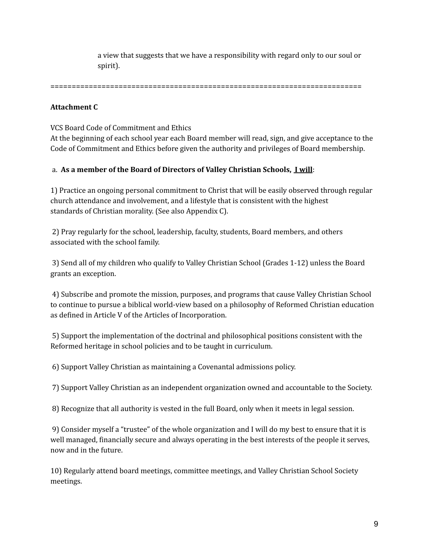a view that suggests that we have a responsibility with regard only to our soul or spirit).

=========================================================================

#### **Attachment C**

VCS Board Code of Commitment and Ethics

At the beginning of each school year each Board member will read, sign, and give acceptance to the Code of Commitment and Ethics before given the authority and privileges of Board membership.

## a. **As a member of the Board of Directors of Valley Christian Schools, I will**:

1) Practice an ongoing personal commitment to Christ that will be easily observed through regular church attendance and involvement, and a lifestyle that is consistent with the highest standards of Christian morality. (See also Appendix C).

2) Pray regularly for the school, leadership, faculty, students, Board members, and others associated with the school family.

3) Send all of my children who qualify to Valley Christian School (Grades 1-12) unless the Board grants an exception.

4) Subscribe and promote the mission, purposes, and programs that cause Valley Christian School to continue to pursue a biblical world-view based on a philosophy of Reformed Christian education as defined in Article V of the Articles of Incorporation.

5) Support the implementation of the doctrinal and philosophical positions consistent with the Reformed heritage in school policies and to be taught in curriculum.

6) Support Valley Christian as maintaining a Covenantal admissions policy.

7) Support Valley Christian as an independent organization owned and accountable to the Society.

8) Recognize that all authority is vested in the full Board, only when it meets in legal session.

9) Consider myself a "trustee" of the whole organization and I will do my best to ensure that it is well managed, financially secure and always operating in the best interests of the people it serves, now and in the future.

10) Regularly attend board meetings, committee meetings, and Valley Christian School Society meetings.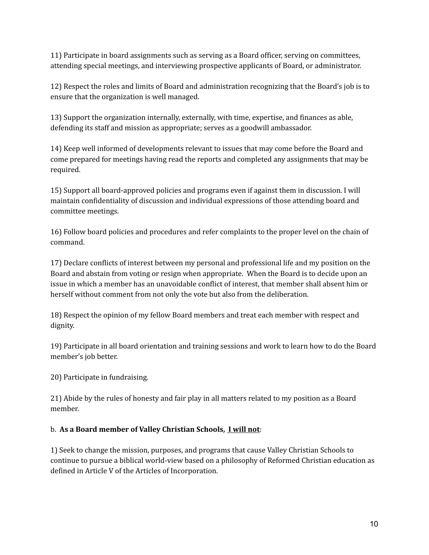11) Participate in board assignments such as serving as a Board officer, serving on committees, attending special meetings, and interviewing prospective applicants of Board, or administrator.

12) Respect the roles and limits of Board and administration recognizing that the Board's job is to ensure that the organization is well managed.

13) Support the organization internally, externally, with time, expertise, and finances as able, defending its staff and mission as appropriate; serves as a goodwill ambassador.

14) Keep well informed of developments relevant to issues that may come before the Board and come prepared for meetings having read the reports and completed any assignments that may be required.

15) Support all board-approved policies and programs even if against them in discussion. I will maintain confidentiality of discussion and individual expressions of those attending board and committee meetings.

16) Follow board policies and procedures and refer complaints to the proper level on the chain of command.

17) Declare conflicts of interest between my personal and professional life and my position on the Board and abstain from voting or resign when appropriate. When the Board is to decide upon an issue in which a member has an unavoidable conflict of interest, that member shall absent him or herself without comment from not only the vote but also from the deliberation.

18) Respect the opinion of my fellow Board members and treat each member with respect and dignity.

19) Participate in all board orientation and training sessions and work to learn how to do the Board member's job better.

20) Participate in fundraising.

21) Abide by the rules of honesty and fair play in all matters related to my position as a Board member.

## b. **As a Board member of Valley Christian Schools, I will not**:

1) Seek to change the mission, purposes, and programs that cause Valley Christian Schools to continue to pursue a biblical world-view based on a philosophy of Reformed Christian education as defined in Article V of the Articles of Incorporation.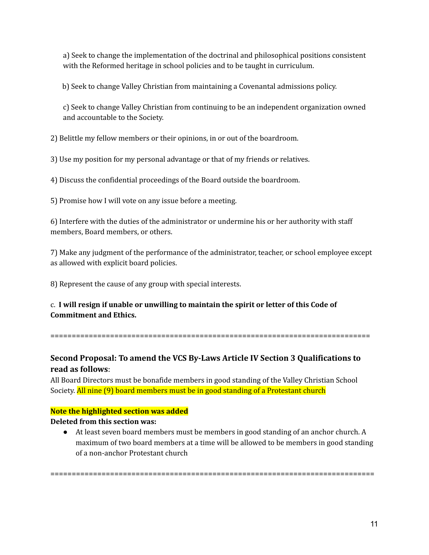a) Seek to change the implementation of the doctrinal and philosophical positions consistent with the Reformed heritage in school policies and to be taught in curriculum.

b) Seek to change Valley Christian from maintaining a Covenantal admissions policy.

c) Seek to change Valley Christian from continuing to be an independent organization owned and accountable to the Society.

2) Belittle my fellow members or their opinions, in or out of the boardroom.

3) Use my position for my personal advantage or that of my friends or relatives.

4) Discuss the confidential proceedings of the Board outside the boardroom.

5) Promise how I will vote on any issue before a meeting.

6) Interfere with the duties of the administrator or undermine his or her authority with staff members, Board members, or others.

7) Make any judgment of the performance of the administrator, teacher, or school employee except as allowed with explicit board policies.

8) Represent the cause of any group with special interests.

# c. **I will resign if unable or unwilling to maintain the spirit or letter of this Code of Commitment and Ethics.**

===========================================================================

# **Second Proposal: To amend the VCS By-Laws Article IV Section 3 Qualifications to read as follows**:

All Board Directors must be bonafide members in good standing of the Valley Christian School Society. All nine (9) board members must be in good standing of a Protestant church

## **Note the highlighted section was added**

## **Deleted from this section was:**

● At least seven board members must be members in good standing of an anchor church. A maximum of two board members at a time will be allowed to be members in good standing of a non-anchor Protestant church

============================================================================